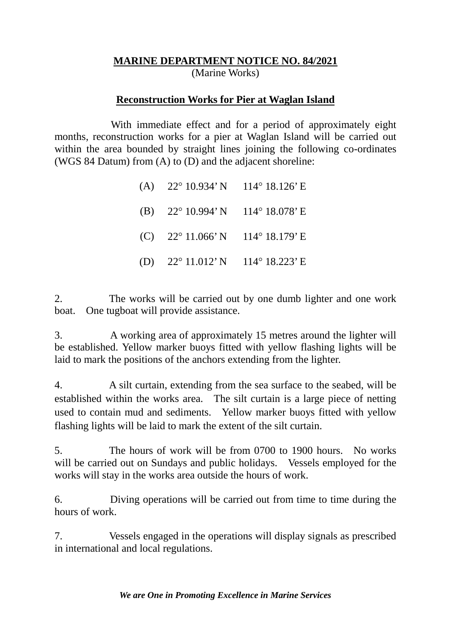## **MARINE DEPARTMENT NOTICE NO. 84/2021** (Marine Works)

## **Reconstruction Works for Pier at Waglan Island**

With immediate effect and for a period of approximately eight months, reconstruction works for a pier at Waglan Island will be carried out within the area bounded by straight lines joining the following co-ordinates (WGS 84 Datum) from (A) to (D) and the adjacent shoreline:

| (A) $22^{\circ}$ 10.934' N 114° 18.126' E |  |
|-------------------------------------------|--|
| (B) $22^{\circ}$ 10.994' N 114° 18.078' E |  |
| (C) $22^{\circ}$ 11.066' N 114° 18.179' E |  |
| (D) $22^{\circ}$ 11.012' N 114° 18.223' E |  |

2. The works will be carried out by one dumb lighter and one work boat. One tugboat will provide assistance.

3. A working area of approximately 15 metres around the lighter will be established. Yellow marker buoys fitted with yellow flashing lights will be laid to mark the positions of the anchors extending from the lighter.

4. A silt curtain, extending from the sea surface to the seabed, will be established within the works area. The silt curtain is a large piece of netting used to contain mud and sediments. Yellow marker buoys fitted with yellow flashing lights will be laid to mark the extent of the silt curtain.

5. The hours of work will be from 0700 to 1900 hours. No works will be carried out on Sundays and public holidays. Vessels employed for the works will stay in the works area outside the hours of work.

6. Diving operations will be carried out from time to time during the hours of work.

7. Vessels engaged in the operations will display signals as prescribed in international and local regulations.

*We are One in Promoting Excellence in Marine Services*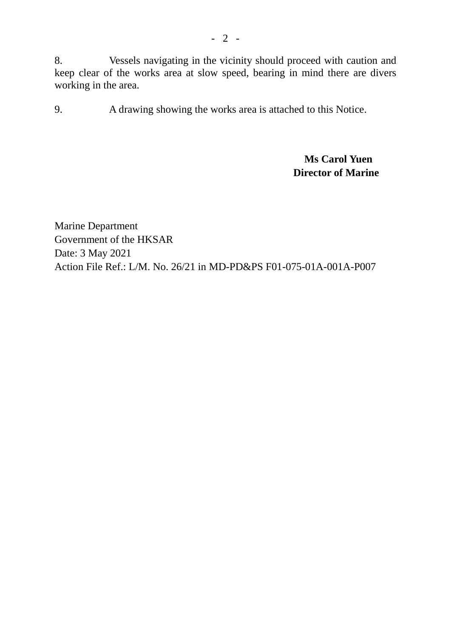8. Vessels navigating in the vicinity should proceed with caution and keep clear of the works area at slow speed, bearing in mind there are divers working in the area.

9. A drawing showing the works area is attached to this Notice.

## **Ms Carol Yuen Director of Marine**

Marine Department Government of the HKSAR Date: 3 May 2021 Action File Ref.: L/M. No. 26/21 in MD-PD&PS F01-075-01A-001A-P007